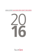# **ANNUAL REPORT ALLAN GRAY AFRICA EQUITY FUND LIMITED**



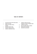# **TABLE OF CONTENTS**

- 1 ALLAN GRAY AFRICA EQUITY FUND LIMITED STRATEGY
- 4 SCHEDULE OF NET ASSETS
- 5 APPROVAL OF THE ANNUAL FINANCIAL **STATEMENTS**
- 6 INDEPENDENT AUDITORS' REPORT
- 7 STATEMENT OF FINANCIAL POSITION
- 8 STATEMENT OF COMPREHENSIVE INCOME
- 9 STATEMENT OF CHANGES IN NET ASSETS ATTRIBUTABLE TO HOLDERS OF REDEEMABLE SHARES
- 10 STATEMENT OF CASH FLOWS
- 11 NOTES TO THE ANNUAL FINANCIAL STATEMENTS
- 28 IMPORTANT NOTES FOR INVESTORS
- 31 CHARACTERISTICS AND DIRECTORY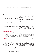# **ALLAN GRAY AFRICA EQUITY FUND LIMITED STRATEGY**

as at 31 December 2016

#### **PORTFOLIO MANAGER**

Andrew Lapping

## **FUND DESCRIPTION AND SUMMARY OF INVESTMENT POLICY**

The Allan Gray Africa Equity Fund Limited (the 'Fund') invests in a focused portfolio of companies with significant business interests in Africa, regardless of the location of the stock exchange listing. The Fund price is reported in US dollars but the underlying holdings are denominated in various currencies. Returns are likely to be volatile.

#### **FUND OBJECTIVE AND BENCHMARK**

The Fund aims to outperform African equity markets over the long term without taking on greater risk of loss. The Fund's benchmark is the MSCI Emerging and Frontier Markets (EFM) Africa Index (total returns).

## **SUITABLE FOR THOSE INVESTORS WHO**

- Seek exposure to African equities
- Are comfortable with stock market and currency fluctuations
- Are prepared to take on the risk of capital loss
- Typically have an investment horizon of more than five years

#### **COMMENTARY**

Most African equity markets had a difficult 2016, generating negative dollar returns. The worst performers were Egypt and Nigeria, which fell 47% and 41% respectively, while the standout performer was Morocco, returning 26%. Kenya and South Africa, the other large, liquid markets, fell 9% and rose 13%, respectively.

After trying to plug the dyke for over a year, the Egyptian authorities finally let the pound float in early November. The magnitude of the move surprised most; including us (we were using a rate of EGP13.20/US\$ to value the portfolio just before the devaluation). The Egyptian pound lost 52% of its value in eight weeks, moving from EGP8.88/US\$ to EGP18.52/US\$. The local equity market rallied 37% over the same period, for a net US\$ loss of 35% for equity investors.

Close observers of the Fund's price series would have seen little price movement from the above volatility as by November we had already devalued the Egyptian pound rate used to value the Fund assets, so the subsequent stock market and currency moves more-or-less offset one another.

We think the Egyptian pound is undervalued and may well recover somewhat, especially if the government adopts some sensible policies and cuts back on money printing. We are not net buyers of Egyptian equities, as there is less value after the rally. Our preferred exposure is still Eastern Tobacco. The Egyptian opportunity currently appears to be in local currency, fixed interest and cheap holidays.

The Fund is a buyer of Nigerian banks, as these businesses look undervalued despite substantial risks. The Nigerian bank investments detracted 5.6% from returns over the past year.

Nigerian consumer businesses are beginning to move into our valuation range, but we are not yet substantial buyers.

It would have been nice if, rather than investing in Nigerian banks, the Fund had the equivalent sum invested in Moroccan equities – unfortunately this was not the case. We had zero exposure to Morocco over the year and, despite lots of looking, we have not found any businesses that we think are substantially undervalued.

The Fund's exposure to Kenyan equities is fairly modest despite the financial companies trading on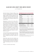# **ALLAN GRAY AFRICA EQUITY FUND LIMITED STRATEGY**

as at 31 December 2016

depressed valuations. The Kenyan shilling is cause for concern. The shilling traded in a remarkably tight range around KES101/US\$ over the past 18 months, despite a rapidly increasing fiscal deficit (now 10% of GDP) and a current account deficit of 6% of GDP. Private sector credit expansion has slowed recently, but a pegged currency and large twin deficits do not usually end well.

Unfortunately, the reason for the sharp rally in Zimbabwean equites over the past six months was not an improving economic situation, but rather a deteriorating one. The government has introduced so called "bond notes" in an attempt to solve the chronic dollar shortage, which could be the harbinger of another bout of money printing. It is very difficult to get dollars out of Zimbabwe, so investors with cash balances are looking to buy real assets, driving up equity valuations. In pricing the Fund, we have devalued the Zimbabwean securities by 20% to reflect this anomaly.

Certain South African industrial companies performed very poorly in 2016. We have begun to buy select stocks, but generally do not find much value in the sector as, despite the price decline, valuations are still high.

Falling African equity prices and valuations over the past 30 months have laid the groundwork for better returns ahead. The Fund owns a collection of undervalued equities that should reward long-term investors with pleasing real returns in the years to come.

*Commentary contributed by Andrew Lapping*

#### **PERFORMANCE IN US\$1 NET OF ALL FEES AND EXPENSES**

| % Returns                                                  | Fund    | Benchmark <sup>2</sup> |
|------------------------------------------------------------|---------|------------------------|
| Cumulative:                                                |         |                        |
| Since inception                                            | 1701.2  | 437.9                  |
| Annualised:                                                |         |                        |
| Since inception                                            | 16.9    | 9.5                    |
| Latest 10 years                                            | 1.7     | 3.0                    |
| Latest 5 years                                             | $-2.8$  | 0.9                    |
| Latest 3 years                                             | $-14.2$ | $-3.6$                 |
| Latest 2 years                                             | $-18.5$ | $-7.1$                 |
| Latest 1 year                                              | 0.1     | 14.8                   |
| Risk measures (since inception, based on month-end prices) |         |                        |
| Maximum drawdown <sup>3</sup>                              | $-52.5$ | $-60.5$                |
| Percentage positive months <sup>4</sup>                    | 57.2    | 57.2                   |
| Annualised monthly volatility <sup>5</sup>                 | 25.3    | 26.7                   |

1. The Fund is currently priced in US dollars. From inception to 30 April 2012 the Fund was priced in South African rands.

2. The current benchmark is the MSCI EFM Africa Index (total returns). From inception to 30 April 2012 the benchmark was the FTSE/JSE All Share Index including income. Performance as calculated by Allan Gray as at 31 December 2016 (source: Bloomberg). Calculation based on the latest available data as supplied by third parties.

- 3. Maximum percentage decline over any period. The maximum drawdown occurred from October 2007 to February 2009 and maximum benchmark drawdown occurred from October 2007 to February 2009. Drawdown is calculated on the total return of the Fund/benchmark (i.e. including income).
- 4. The percentage of calendar months in which the Fund produced a positive monthly return since inception.
- 5. The standard deviation of the Fund's monthly return. This is a measure of how much an investment's return varies from its average over time.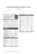# **ALLAN GRAY AFRICA EQUITY FUND LIMITED STRATEGY**

as at 31 December 2016

#### **INCOME DISTRIBUTION FOR THE LAST 12 MONTHS**

| To the extent that income earned in the<br>form of dividends and interest exceeds<br>expenses in the Fund, the Fund will<br>distribute any surplus. | 31 Dec 2016 |
|-----------------------------------------------------------------------------------------------------------------------------------------------------|-------------|
| Dollars per unit                                                                                                                                    | 4.0861      |

### **TOTAL EXPENSE RATIO ('TER') AND TRANSACTION COSTS**

The annual management fee charged is included in the TER. The TER is a measure of the actual expenses incurred by the Fund over a 3-year period (annualised). Since Fund returns are quoted after deduction of these expenses, the TER should not be deducted from the published returns. Transaction costs are disclosed separately.

| TER and Transaction costs breakdown for<br>the 3-year period ending<br>31 December 2016 | %    |
|-----------------------------------------------------------------------------------------|------|
| Total expense ratio                                                                     | 2.06 |
| Fee for benchmark performance                                                           | 1.50 |
| Performance fees                                                                        | 0.29 |
| Custody fees                                                                            | 0.21 |
| Other costs excluding transaction costs                                                 | 0.06 |
| <b>Transaction costs</b>                                                                | 0.22 |
| <b>Total investment charge</b>                                                          | 2.28 |

## **SECTOR ALLOCATION AS AT 31 DECEMBER 2016**

| <b>Sector</b>      | % of Equities                | Benchmark <sup>2</sup> |
|--------------------|------------------------------|------------------------|
| Financials         | 28.7                         | 31.2                   |
| Consumer goods     | 24.4                         | 8.3                    |
| Basic materials    | 14.5                         | 11.2                   |
| Telecommunications | 10.8                         | 8.9                    |
| Oil & gas          | 9.8                          | 0.1                    |
| Consumer services  | 5.5                          | 30.6                   |
| Utilities          | 4.3                          | 0.1                    |
| Industrials        | 2.0                          | 5.7                    |
| Healthcare         | $\qquad \qquad \blacksquare$ | 3.9                    |
| Total <sup>6</sup> | 100.0                        | 100.0                  |

## **COUNTRY OF PRIMARY LISTING AS AT 31 DECEMBER 2016**

| Country            | % of Equities                | Benchmark <sup>2</sup> |
|--------------------|------------------------------|------------------------|
| South Africa       | 27.0                         | 88.4                   |
| Zimbabwe           | 19.7                         |                        |
| Nigeria            | 18.0                         | 2.3                    |
| Egypt              | 18.0                         | 1.8                    |
| Kenya              | 4.5                          | 1.4                    |
| United Kingdom     | 3.6                          |                        |
| Australia          | 3.0                          |                        |
| France             | 3.0                          |                        |
| Uganda             | 2.9                          |                        |
| Canada             | 0.5                          |                        |
| Morocco            |                              | 2.8                    |
| Mauritius          |                              | 0.9                    |
| Romania            | -                            | 0.9                    |
| Malta              | -                            | 0.7                    |
| <b>BRVM</b>        | $\qquad \qquad \blacksquare$ | 0.5                    |
| Tunisia            | -                            | 0.2                    |
| Total <sup>6</sup> | 100.0                        | 100.0                  |

6. There may be slight discrepancies in the totals due to rounding.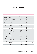# **SCHEDULE OF NET ASSETS**

as at 31 December 2016

|                    |                                      | <b>MARKET VALUE</b> |           | <b>MSCI EFM AFRICA INDEX</b> |
|--------------------|--------------------------------------|---------------------|-----------|------------------------------|
| <b>NUMBER HELD</b> | <b>INSTRUMENT (RANKED BY SECTOR)</b> | <b>USS</b>          | % OF FUND | (TOTAL RETURNS) (%)          |
|                    | <b>FINANCIALS</b>                    | 47 402 950          | 29.0%     | 31.2%                        |
| 969 931            | <b>Standard Bank</b>                 | 10713394            | 6.6%      |                              |
| 451 515 149        | Access Bank                          | 8 698 372           | 5.3%      |                              |
| 125 694 672        | Zenith Bank                          | 6 084 662           | 3.7%      |                              |
| 4 5 2 7 2 3 3      | <b>CFC</b> Stanbic                   | 3 1 1 4 7 6 5       | 1.9%      |                              |
| 277 807 403        | First Bank of Nigeria Holdings       | 3 0 5 4 3 3 1       | 1.9%      |                              |
| 1 504 000          | <b>MMI</b>                           | 2 582 458           | 1.6%      |                              |
| 1029617            | Old Mutual                           | 2 581 050           | 1.6%      |                              |
| 141814             | <b>Nedbank</b>                       | 2 458 050           | 1.5%      |                              |
| 183 357            | <b>Barclays Africa</b>               | 2 2 5 1 3 5 7       | 1.4%      |                              |
| 6776650            | Kenya Commercial Bank                | 1 901 324           | 1.2%      |                              |
|                    | Positions less than 1%               | 3 963 187           | 2.3%      |                              |
|                    | <b>CONSUMER GOODS</b>                | 40 342 690          | 24.7%     | 8.3%                         |
| 1 378 411          | Eastern Tobacco                      | 21 127 019          | 12.9%     |                              |
| 20 950 000         | <b>Delta Corporation</b>             | 14 832 600          | 9.1%      |                              |
| 10 526 667         | <b>Innscor Africa</b>                | 4 042 240           | 2.5%      |                              |
|                    | Positions less than 1%               | 340 831             | 0.2%      |                              |
|                    | <b>BASIC MATERIALS</b>               | 23 917 968          | 14.6%     | 11.2%                        |
| 486899             | Sasol                                | 14 137 104          | 8.7%      |                              |
| 1 161 660          | Zimplats                             | 5 0 29 5 24         | 3.1%      |                              |
| 2 8 2 4 0 0 0      | Caledonia Mining                     | 2897022             | 1.8%      |                              |
|                    | Positions less than 1%               | 1854318             | 1.0%      |                              |
|                    | <b>TELECOMMUNICATIONS</b>            | 17 784 380          | 10.9%     | 8.9%                         |
| 49 424 796         | <b>Econet Wireless Zimbabwe</b>      | 11861950            | 7.3%      |                              |
| 12 136 011         | Global Telecom                       | 5 022 436           | 3.1%      |                              |
|                    | Positions less than 1%               | 899 994             | 0.5%      |                              |
|                    | <b>OIL &amp; GAS</b>                 | 16 083 659          | 9.8%      | 0.1%                         |
| 10 586 313         | SEPLAT Petroleum Development Co      | 10 496 888          | 6.4%      |                              |
| 1 098 509          | Maurel Et Prom                       | 4 876 300           | 3.0%      |                              |
|                    | Positions less than 1%               | 710471              | 0.4%      |                              |
|                    | <b>CONSUMER SERVICES</b>             | 9 123 765           | 5.6%      | 30.6%                        |
| 41 300             | <b>Naspers</b>                       | 6054614             | 3.7%      |                              |
|                    | Positions less than 1%               | 3 069 151           | 1.9%      |                              |
|                    | UTILITIES                            | 7 072 227           | 4.3%      | 0.1%                         |
| 37 624 545         | Umeme                                | 5 095 884           | 3.1%      |                              |
| 24 848 575         | Kenya Power & Lighting               | 1 976 343           | 1.2%      |                              |
|                    | <b>INDUSTRIALS</b>                   | 3 367 916           | 2.1%      | 5.7%                         |
|                    | Positions less than 1%               | 3 367 916           | 2.1%      |                              |
|                    | <b>CASH AND ACCRUALS</b>             | $-1672080$          | $-1.0%$   | ٠                            |
|                    | <b>NET ASSETS</b>                    | 163 423 475         | 100.0%    |                              |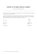# **APPROVAL OF THE ANNUAL FINANCIAL STATEMENTS**

For the year ended 31 December 2016

The directors of the Fund are responsible for the preparation of the annual financial statements and related financial information included in this report.

The annual financial statements, which comprise the financial position as at 31 December 2016 and its financial performance and cash flows for the year ended 31 December 2016, are set out on pages 7 to 27 and have been approved by the board of directors of the Fund and are signed on its behalf by:

Director Director

15 March 2017 15 March 2017

John CR Collis Craig Bodenstab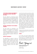## **INDEPENDENT AUDITORS' REPORT**

## **TO THE BOARD OF DIRECTORS AND MEMBERS OF ALLAN GRAY AFRICA EQUITY FUND LIMITED (THE 'FUND')**

We have audited the accompanying financial statements of the Fund, which comprise the statement of financial position as at 31 December 2016 and the statements of comprehensive income, changes in net assets attributable to holders of redeemable shares and cash flows for the year ended 31 December 2016, and a summary of significant accounting policies and other explanatory information on pages 7 to 27.

## **DIRECTORS' RESPONSIBILITY FOR THE FINANCIAL STATEMENTS**

The Fund's directors are responsible for the preparation and fair presentation of these financial statements in accordance with International Financial Reporting Standards, and for such internal control as management determines is necessary to enable the preparation of financial statements that are free from material misstatement, whether due to fraud or error.

### **AUDITORS' RESPONSIBILITY**

Our responsibility is to express an opinion on these financial statements based on our audit. We conducted our audit in accordance with Canadian generally accepted auditing standards. Those standards require that we comply with ethical requirements and plan and perform the audit to obtain reasonable assurance about whether the financial statements are free from material misstatement.

An audit involves performing procedures to obtain audit evidence about the amounts and disclosures in the financial statements. The procedures selected depend on the auditors' judgment, including the assessment of the risks of material misstatement of the financial statements, whether due to fraud or error. In making those risk assessments, the auditors consider internal controls relevant to the Fund's preparation and fair presentation of the financial statements in order to design audit procedures that are appropriate in the circumstances, but not for the purpose of expressing an opinion on the effectiveness of the Fund's internal control. An audit also includes evaluating the appropriateness of accounting policies used and the reasonableness of accounting estimates made by management, as well as evaluating the overall presentation of the financial statements.

We believe that the audit evidence we have obtained is sufficient and appropriate to provide a basis for our audit opinion.

#### **OPINION**

In our opinion, the financial statements present fairly, in all material respects, the financial position of the Fund as at 31 December 2016 and its financial performance and its cash flows for the year ended 31 December 2016 in accordance with International Financial Reporting Standards.

Ernet + Young LLP

**Chartered Professional Accountants Licensed Public Accountants** 

15 March 2017 Toronto, Canada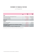# **STATEMENT OF FINANCIAL POSITION**

as at 31 December 2016

|                                                                                                | <b>NOTE</b>    | 2016<br><b>USS</b> | 2015<br><b>USS</b> |
|------------------------------------------------------------------------------------------------|----------------|--------------------|--------------------|
| <b>ASSETS</b>                                                                                  |                |                    |                    |
| Financial assets at fair value through profit or loss                                          | $\mathcal{P}$  | 165 095 555        | 162 844 482        |
| Cash and cash equivalents                                                                      | 3              | 4 1 2 6 4 8 0      | 7 670 720          |
| Trade and other receivables                                                                    | $\overline{4}$ | 65 474             | 67 002             |
| <b>TOTAL ASSETS</b>                                                                            |                | 169 287 509        | 170 582 204        |
| <b>LIABILITIES</b>                                                                             |                |                    |                    |
| Trade and other payables                                                                       | 5              | 376 121            | 393 959            |
| Distribution payable                                                                           | 8              | 5 487 913          | 5 5 48 3 29        |
| <b>TOTAL LIABILITIES, EXCLUDING NET ASSETS ATTRIBUTABLE TO HOLDERS</b><br>OF REDEEMABLE SHARES |                | 5 864 034          | 5 942 288          |
| <b>NET ASSETS ATTRIBUTABLE TO HOLDERS OF REDEEMABLE SHARES</b>                                 |                | 163 423 475        | 164 639 916        |

The above Statement of financial position should be read in conjuction with the accompanying notes.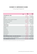# **STATEMENT OF COMPREHENSIVE INCOME**

For the year ended 31 December 2016

|                                                             | <b>NOTE</b> | 2016<br><b>USS</b> | 2015<br><b>USS</b> |
|-------------------------------------------------------------|-------------|--------------------|--------------------|
| <b>NET INVESTMENT GAINS / (LOSSES)</b>                      |             | 3 0 5 4 2 1 1      | (84 713 897)       |
| <b>Dividends</b>                                            |             | 8 076 065          | 11898698           |
| Interest                                                    |             | 255                | 48                 |
| Realised gains / (losses) on disposal of investments        |             | 1719636            | (2, 456, 915)      |
| Unrealised losses on investments                            |             | (5838345)          | (93 241 563)       |
| Foreign exchange losses                                     |             | (903737)           | (947 598)          |
| Other income                                                |             | 337                | 33 433             |
| <b>OPERATING EXPENSES</b>                                   |             | (2588680)          | (6 391 372)        |
| Management fees                                             |             | (1 293 647)        | (3825187)          |
| Audit fees                                                  |             | (39 451)           | (41951)            |
| Custodian fees                                              |             | (310 509)          | (506 293)          |
| <b>Transaction</b> fees                                     |             | (11 462)           | (14349)            |
| Administration fees                                         |             | (43710)            | (62091)            |
| Withholding taxes                                           |             | (866024)           | (1907687)          |
| Other expenses                                              |             | (23 877)           | (33814)            |
| TOTAL COMPREHENSIVE INCOME / (LOSS) BEFORE FINANCE COSTS    |             | 465 531            | (91105269)         |
| Finance cost - distribution to holders of redeemable shares | 8           | (5487913)          | (5, 548, 329)      |
| <b>TOTAL COMPREHENSIVE LOSS FOR THE YEAR</b>                |             | (5022382)          | (96 653 598)       |

The above Statement of comprehensive income should be read in conjuction with the accompanying notes.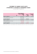# **STATEMENT OF CHANGES IN NET ASSETS ATTRIBUTABLE TO HOLDERS OF REDEEMABLE SHARES**

For the year ended 31 December 2016

|                                       | <b>NOTE</b> | NET ASSETS ATTRIBUTABLE TO<br><b>HOLDERS OF REDEEMABLE</b><br><b>SHARES</b><br><b>USS</b> | NUMBER OF<br><b>SHARES</b> | NET ASSET VALUE<br><b>PER SHARE</b><br><b>USS</b> |
|---------------------------------------|-------------|-------------------------------------------------------------------------------------------|----------------------------|---------------------------------------------------|
| <b>BALANCE AT 31 DECEMBER 2014</b>    |             | 274 928 193                                                                               | 1 405 523                  | 195.61                                            |
| Total comprehensive loss for the year |             | (96 653 598)                                                                              |                            |                                                   |
| Net capital withdrawals               |             | (13634679)                                                                                | (95253)                    |                                                   |
| <b>BALANCE AT 31 DECEMBER 2015</b>    |             | 164 639 916                                                                               | 1 310 270                  | 125.65                                            |
| Total comprehensive loss for the year |             | (5022382)                                                                                 |                            |                                                   |
| Net capital contributions             |             | 3 805 941                                                                                 | 32799                      |                                                   |
| <b>BALANCE AT 31 DECEMBER 2016</b>    | 8           | 163 423 475                                                                               | 1 343 069                  | 121.68                                            |

The above Statement of changes in net assets attributable to holders of redeemable shares should be read in conjuction with the accompanying notes.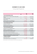# **STATEMENT OF CASH FLOWS**

For the year ended 31 December 2016

|                                                                    | <b>NOTF</b> | 2016<br><b>USS</b> | 2015<br><b>USS</b> |
|--------------------------------------------------------------------|-------------|--------------------|--------------------|
| <b>CASH FLOW FROM OPERATING ACTIVITIES</b>                         |             |                    |                    |
| Net cash outflow from operations before working capital<br>changes | 6.1         | (1722319)          | (4450252)          |
| Working capital changes                                            | 6.2         | (16310)            | (276908)           |
| Interest received                                                  |             | 255                | 48                 |
| Dividends received, net of withholding tax                         |             | 7 210 041          | 9 9 9 1 0 1 1      |
| <b>NET CASH GENERATED BY OPERATING ACTIVITIES</b>                  |             | 5 471 667          | 5 263 899          |
| <b>CASH FLOW FROM INVESTING ACTIVITIES</b>                         |             |                    |                    |
| Acquisition of investments                                         |             | (41 786 598)       | (59 741 290)       |
| Proceeds from sale of investments                                  |             | 35 416 817         | 67 781 905         |
| NET CASH UTILISED BY INVESTING ACTIVITIES                          |             | (6369781)          | 8 040 615          |
| <b>CASH FLOW FROM FINANCING ACTIVITIES</b>                         |             |                    |                    |
| Proceeds from issue of redeemable shares                           |             | 67 455             | 4 0 8 4 8 0 7      |
| Redemption of redeemable shares                                    |             | (1809844)          | (17719486)         |
| NET CASH FLOWS UTILISED BY FINANCING ACTIVITIES                    |             | (1742389)          | (13634679)         |
| Net decrease in cash and cash equivalents                          |             | (2640503)          | (330165)           |
| Cash and cash equivalents at the beginning of the year             |             | 7 670 720          | 8 948 483          |
| Effect of exchange rate changes on cash and cash equivalents       |             | (903737)           | (947 598)          |
| CASH AND CASH EQUIVALENTS AT THE END OF THE YEAR                   |             | 4 126 480          | 7 670 720          |
| <b>SUPPLEMENTAL INFORMATION:</b>                                   |             |                    |                    |
| Actual interest received                                           |             | 255                | 48                 |
| Actual dividends received, net of withholding tax                  |             | 7 211 569          | 10 044 093         |

The above Statement of cash flows should be read in conjuction with the accompanying notes.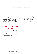## **CORPORATE INFORMATION**

Allan Gray Africa Equity Fund Limited (the 'Fund') was incorporated on 22 April 1997 and is a limited liability company of unlimited duration. The Fund was launched to the public on 1 July 1998 and is a Bermuda exempted Mutual Fund Company. The investment manager of the Fund is Allan Gray International Proprietary Limited (the 'Investment Manager'). Allan Gray Proprietary Limited is the investment advisor to the Fund.

The financial statements of the Fund were authorised for issue by the board of directors on 15 March 2017.

## **1. ACCOUNTING STANDARDS AND POLICIES**

## **1.1 BASIS OF PREPARATION**

The financial statements have been prepared on a going concern basis, using the historical cost basis, except for financial instruments that have been measured at either fair value or amortised cost, in accordance with International Financial Reporting Standards ('IFRS'). These financial statements are presented in US dollars, being the functional currency of the Fund.

## **1.2 IFRS**

The Fund has adopted all new and revised standards, interpretations and amendments issued by the International Accounting Standards Board (the 'IASB') and the IFRS Interpretations Committee of the IASB that are relevant to its operations and effective for the annual accounting period ended 31 December 2016.

The significant accounting policies adopted in the preparation of the financial statements are set out on the following page and are in accordance with and comply with IFRS.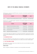The following new, revised and amended IFRS standards, interpretations and amendments applicable to the Fund were adopted during the year:

|       | <b>STANDARDS</b>                                             | EFFECTIVE DATE:<br><b>YEARS BEGINNING</b><br>ON/AFTER | <b>IMPACT</b>      |
|-------|--------------------------------------------------------------|-------------------------------------------------------|--------------------|
| IAS 1 | Presentation of Financial Statements (Disclosure initiative) | 1 January 2016                                        | No material impact |

The following new or revised IFRS standards, interpretations and amendments applicable to the Fund have been issued but are not yet effective:

|                  | <b>STANDARDS</b>                                | EFFECTIVE DATE:<br>YEARS BEGINNING<br>ON/AFTER | IMPACT             |
|------------------|-------------------------------------------------|------------------------------------------------|--------------------|
| IAS <sub>7</sub> | Statement of Cash Flows (Disclosure initiative) | 1 January 2017                                 | No material impact |
| <b>IFRS 7</b>    | Financial Instruments: Disclosures (Amendment)  | 1 January 2018                                 | No material impact |
| <b>IFRS 9</b>    | <b>Financial Instruments</b>                    | 1 January 2018                                 | No material impact |
| IFRS 15          | Revenue from Contracts with Customers           | 1 January 2018                                 | No material impact |

A number of other changes, that are effective for accounting periods ended after 31 December 2016, have been issued by the IASB and IFRS Interpretations Committee. However, these are not considered relevant to the Fund's operations.

## **1.3 ACCOUNTING POLICIES**

The Fund has identified the accounting policies that are most significant to its business operations and the understanding of its results. These accounting policies are set out below and have been consistently applied.

## **1.3.1 NET INVESTMENT INCOME**

Net investment income comprises interest income, dividend income, other income and realised and unrealised gains and losses on investments.

## INTEREST INCOME

Interest is recognised in the Statement of comprehensive income using the effective interest method.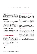#### DIVIDEND INCOME

Dividends are recognised when the last date to register for the dividend has passed. Dividend income is presented gross of any non-recoverable withholding taxes, which are disclosed separately in the Statement of comprehensive income.

#### OTHER INCOME

Investors are charged 0.5% when subscribing for Fund shares. Investors may be charged 0.5% when redeeming Fund shares in the case of significant redemptions. These charges are paid into the Fund to offset the costs associated with the transactions that are borne by the Fund. The Investment Manager may waive these charges if transactions substantially offset one another.

#### INVESTMENT GAINS AND LOSSES

Changes in the fair value of financial assets held at fair value through profit or loss, and gains or losses made on the disposal of these financial assets, calculated using the average cost method, are recognised in profit or loss.

### **1.3.2 ANNUAL MANAGEMENT FEE**

The annual management fee ranges from 0.5% to 2.5% depending on the relative return of the Fund to the benchmark, before fees. The fee is calculated on a base of 1.5% plus one twenty-fifth of the cumulative three-year relative performance, subject to a floor of 0.5% and cap of 2.5%. For example if the cumulative three year performance of the fund is 20% and that of the benchmark is 15%, the fee rate is:  $1.5\% + (20\% - 15\%) / 25 = 1.7\%$ .

## **1.3.3 EXPENSES**

All expenses are recognised on an accrual basis in profit or loss.

## **1.3.4 DISTRIBUTIONS TO HOLDERS OF REDEEMABLE SHARES**

Distributions from the Fund will be automatically reinvested in additional redeemable shares unless a holder of redeemable shares requests in writing that any dividends be paid to them.

All unclaimed dividends may be invested or otherwise made use of by the directors for the benefit of the Fund until claimed. No dividend shall bear interest against the Fund. An entitlement shall lapse in favour of the Fund if not claimed within 12 years after the accrual of such entitlement.

Distributions to holders of redeemable shares are recognised in the Statement of comprehensive income as finance costs.

## **1.3.5 TAXATION**

There is no income tax, corporation tax, profits tax, withholding tax, capital gains tax, capital transfer tax, estate or stamp duty or inheritance tax in Bermuda payable by the Fund or its Members in respect of shares in the Fund. The government of Bermuda has undertaken that in the event that any income, profit, capital, capital gains, estate or inheritance taxes are levied in Bermuda in the future, the Fund and its shares will be exempt from such taxes until 31 March 2035.

Income and capital gains on the Fund's investments, however, may be subject to taxes in certain countries.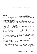## **1.3.6 FINANCIAL INSTRUMENTS: FINANCIAL ASSETS AND LIABILITIES**

## **CLASSIFICATION**

The Fund classifies its investment in equity instruments, related derivatives and money market instruments as financial assets at fair value through profit or loss.

#### FINANCIAL ASSETS AT FAIR VALUE THROUGH PROFIT OR LOSS

The Fund's investments in equity instruments are designated upon initial recognition on the basis that they are part of a group of financial assets that are managed and have their performance evaluated on a fair value basis, in accordance with risk management and investment strategies of the Fund, as set out in the Fund's offering document. Derivatives are categorised as held for trading and are not designated as effective hedging instruments in terms of IAS 39. When a derivative financial instrument is not designated in a hedge relationship that qualifies for hedge accounting, all changes in its fair value are recognised immediately in profit or loss.

#### LOANS AND RECEIVABLES

Loans and receivables are non-derivative financial assets with fixed or determinable payments that are not quoted in an active market. Loans and receivables comprise cash and cash equivalents and trade and other receivables, which include dividend receivable and amounts due from brokers, which are short-term in nature.

#### FINANCIAL LIABILITIES AT AMORTISED COST

The Fund classifies its trade and other payables and distribution payable as financial liabilities at amortised cost, which is measured at amortised cost. Trade and other payables include accrued expenses and amounts due to brokers, which are short term in nature. Amortised cost approximates fair value due to the short term nature of the financial liabilities.

#### RECOGNITION AND MEASUREMENT

A 'regular way' contract is one that requires the delivery of an asset within the time frame established, generally by regulation or convention within the marketplace concerned. Regular way purchases and sales of financial assets are recognised using trade date accounting. Trade date accounting refers to (a) the recognition of an asset to be received and the liability to pay for it on the trade date, and (b) derecognition of an asset that is sold, recognition of any gain or loss on disposal and the recognition of a receivable from the buyer for payment on the trade date. The trade date is the date that an entity commits itself to purchase or to sell an asset.

Financial instruments are recognised on the trade date at fair value, plus, in the case of assets not at fair value through profit or loss, directly attributable transaction costs. The Fund determines the classification of its financial instruments on initial recognition, when the Fund becomes a party to the contract governing the instrument.

#### FINANCIAL ASSETS AT FAIR VALUE THROUGH PROFIT OR LOSS

Financial assets designated as at fair value through profit or loss are measured at fair value. Subsequent to initial recognition, investments at fair value through profit or loss are marked to market on a daily basis with changes in fair value taken through profit or loss as gains and losses. Attributable transaction costs are recognised in profit or loss as incurred.

#### LOANS AND RECEIVABLES AND FINANCIAL LIABILITIES AT AMORTISED COST

Loans and receivables and financial liabilities at amortised cost are measured initially at fair value plus any directly attributable transaction costs. Subsequent to initial recognition, loans and receivables and financial liabilities at amortised cost are measured at amortised cost using the effective interest method, less any impairment losses. Amortised cost approximates fair value due to the short term nature of loans and receivables and financial liabilities.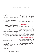Gains and losses are recognised in profit or loss when loans and receivables and financial liabilities at amortised cost are derecognised or impaired, and through the amortisation process.

### DERECOGNITION OF FINANCIAL ASSETS AND LIABILITIES

A financial asset is derecognised where:

- The rights to receive cash flows from the asset have expired, or
- The Fund has transferred its rights to receive cash flows from the asset, or
- The Fund has assumed an obligation to pay the received cash flows in full without material delay to a third party under a 'pass-through' arrangement. Either (a) the Fund has transferred substantially all the risks and rewards of the asset, or (b) the Fund has neither transferred nor retained substantially all the risks and rewards of the asset, but has transferred control of the asset.

A financial liability is derecognised when the obligation under the liability is discharged, cancelled or expires. Where an existing financial liability is replaced by another from the same lender on substantially different terms, or the terms of an existing liability are substantially modified, such an exchange or modification is treated as a derecognition of the original liability and the recognition of a new liability, and the difference in the respective carrying amounts is recognised in profit or loss.

### DETERMINATION OF FAIR VALUE

Financial instruments carried at fair value are valued based on a quoted price in an active market. For all other financial instruments not traded in an active market, the fair value is determined by using appropriate valuation techniques.

An analysis of fair values of financial instruments and further details as to how they are measured, are provided in note 7.

#### OFFSETTING FINANCIAL INSTRUMENTS

A financial asset and a financial liability are offset, and the net amount presented in the Statement of financial position, only when the Fund currently has a legally enforceable right to set off the recognised amounts and intends either to settle on a net basis, or to realise the asset and settle the liability simultaneously.

Income and expense items are only offset to the extent that their related instruments have been offset in the Statement of financial position.

## **1.3.7 CASH AND CASH EQUIVALENTS**

Cash and cash equivalents are short-term highly liquid investments that are readily convertible to known amounts of cash, and are subject to insignificant risk of changes in value. Balances held for the purposes of meeting short-term cash commitments, rather than for investment or other purposes, are current assets and disclosed separately on the face of the Statement of financial position.

Subsequent to initial recognition, cash and cash equivalents, accounts receivable and accounts payable are measured at amortised cost using the effective interest rate method.

#### **1.3.8 AMOUNTS DUE FROM AND DUE TO BROKERS**

Amounts due from and to brokers represent receivables for securities sold and payables for securities purchased (in a regular way transaction) that have been contracted for but not yet settled or delivered on the Statement of financial position date. These are included in trade and other receivables, and in trade and other payables, respectively.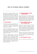These amounts are recognised initially at fair value and subsequently measured at amortised cost using the effective interest method, less provision for impairment for amounts due from brokers. Amortised cost approximates fair value due to the short term nature of amounts due from and to brokers. A provision for impairment of amounts due from brokers is established when there is objective evidence that the Fund will not be able to collect all amounts due from the relevant broker.

## **1.3.9 FOREIGN CURRENCIES**

The Fund's functional currency is the US dollar, which is the currency in which the performance of the Fund is evaluated and its liquidity is managed. Foreign currency items are recorded at the exchange rate ruling on the transaction date.

Monetary assets and liabilities denominated in foreign currencies are translated to US dollars at rates of exchange ruling at the Statement of financial position date or when settled. Gains and losses arising from the translation of these monetary assets and liabilities are recognised in profit or loss.

Realised and unrealised foreign currency gains or losses on investments measured at fair value through profit or loss are included in the Statement of comprehensive income in realised gains / (losses) on disposal of investments and unrealised losses on investments, respectively. Realised and unrealised foreign currency gains or losses on all other financial instruments denominated in foreign currencies are included in the Statement of comprehensive income in Foreign exchange losses.

## **1.3.10 NET ASSETS ATTRIBUTABLE TO HOLDERS OF REDEEMABLE SHARES**

Shares issued by the Fund are classified as financial liabilities and disclosed as net assets attributable holders of redeemable shares. The value of net assets attributable to holders is what is commonly known as the capital value of the Fund. This financial liability (as defined by IAS 32) represents the holders' right to a residual interest in the Fund's net assets.

## **1.3.11 CRITICAL JUDGEMENT IN APPLYING THE FUND'S ACCOUNTING POLICIES**

The preparation of the Fund's financial statements requires the Investment Manager to make judgements, estimates and assumptions that affect the amounts recognised in the financial statements. However, uncertainty about these assumptions and estimates could result in outcomes that could require a material adjustment to the carrying amount of the asset or liability affected in the future.

When the fair value of financial assets and liabilities recorded in the Statement of financial position cannot be derived from active markets, they are determined using a variety of valuation techniques. Refer to note 7.2.

## **1.3.12 EVENTS SUBSEQUENT TO YEAR-END**

There were no significant events subsequent to year-end.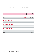| 2016<br><b>USS</b> | 2015<br><b>USS</b>                                       |
|--------------------|----------------------------------------------------------|
|                    |                                                          |
| 165 095 555        | 162 844 482                                              |
| 165 095 555        | 162 844 482                                              |
|                    |                                                          |
| 4 126 480          | 7 670 720                                                |
| 4 126 480          | 7 670 720                                                |
|                    |                                                          |
| 65 474             | 67 002                                                   |
| 65 474             | 67 002                                                   |
|                    |                                                          |
| 206 370            | 235 095                                                  |
| 169751             | 158 864                                                  |
| 376 121            | 393 959                                                  |
|                    | 2. FINANCIAL ASSETS AT FAIR VALUE THROUGH PROFIT OR LOSS |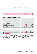|                                                                            | 2016       | 2015         |
|----------------------------------------------------------------------------|------------|--------------|
|                                                                            | <b>USS</b> | <b>USS</b>   |
| <b>6. NOTES TO THE STATEMENTS OF CASH FLOWS</b>                            |            |              |
| <b>6.1 NET CASH OUTFLOW FROM OPERATIONS BEFORE WORKING CAPITAL CHANGES</b> |            |              |
| Total comprehensive loss for the year                                      | (5022382)  | (96 653 598) |
| Adjustments:                                                               |            |              |
| Realised (gains) / losses on disposal of investments                       | (1719636)  | 2 456 915    |
| Unrealised losses on investments                                           | 5 838 345  | 93 241 563   |
| Foreign exchange losses                                                    | 903 737    | 947 598      |
| Interest income                                                            | (255)      | (48)         |
| Dividend income, net of withholding tax                                    | (7210041)  | (9991011)    |
| Finance cost - distribution to holders of redeemable shares                | 5 487 913  | 5 5 48 3 29  |
| <b>TOTAL</b>                                                               | (1722319)  | (4 450 252)  |
| <b>6.2 WORKING CAPITAL CHANGES</b>                                         |            |              |
| Decrease in trade and other receivables                                    | 1528       | 53 082       |
| Decrease in trade and other payables                                       | (17838)    | (329990)     |
| <b>TOTAL</b>                                                               | (16310)    | (276908)     |

## **7. FINANCIAL INSTRUMENTS**

Details of the significant accounting policies and methods adopted, including the criteria for recognition, the basis of measurement and the basis on which income and expenses are recognised, in respect of each class of financial asset and financial liability are disclosed in note 1 to the financial statements.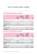## **CATEGORISATION OF FINANCIAL INSTRUMENTS AT 31 DECEMBER 2016**

|                                                          | <b>LOANS AND</b><br><b>RECEIVABLES</b><br><b>USS</b> | <b>FINANCIAL ASSETS</b><br><b>MEASURED AT FAIR</b><br><b>VALUE</b><br><b>USS</b> | <b>FINANCIAL</b><br><b>LIABILITIES</b><br><b>MEASURED AT</b><br>AMORTISED COST<br><b>USS</b> | <b>TOTAL</b><br><b>USS</b> |
|----------------------------------------------------------|------------------------------------------------------|----------------------------------------------------------------------------------|----------------------------------------------------------------------------------------------|----------------------------|
| <b>ASSETS</b>                                            |                                                      |                                                                                  |                                                                                              |                            |
| Financial assets at fair value through<br>profit or loss |                                                      | 165 095 555                                                                      |                                                                                              | 165 095 555                |
| Cash and cash equivalents                                | 4 126 480                                            |                                                                                  |                                                                                              | 4 126 480                  |
| Trade and other receivables                              | 65 474                                               |                                                                                  |                                                                                              | 65 474                     |
| <b>TOTAL ASSETS</b>                                      | 4 191 954                                            | 165 095 555                                                                      |                                                                                              | 169 287 509                |
| <b>LIABILITIES</b>                                       |                                                      |                                                                                  |                                                                                              |                            |
| Trade and other payables                                 |                                                      |                                                                                  | 376 121                                                                                      | 376 121                    |
| Distribution payable                                     | ٠                                                    |                                                                                  | 5 487 913                                                                                    | 5 487 913                  |
| TOTAL LIABILITIES                                        | ٠                                                    |                                                                                  | 5 864 034                                                                                    | 5 864 034                  |

## **CATEGORISATION OF FINANCIAL INSTRUMENTS AT 31 DECEMBER 2015**

|                                                          | <b>LOANS AND</b><br><b>RECEIVABLES</b><br><b>USS</b> | <b>FINANCIAL ASSETS</b><br><b>MEASURED AT FAIR</b><br><b>VALUE</b><br><b>USS</b> | <b>FINANCIAL</b><br><b>LIABILITIES</b><br><b>MEASURED AT</b><br>AMORTISED COST<br><b>USS</b> | <b>TOTAL</b><br>US\$ |
|----------------------------------------------------------|------------------------------------------------------|----------------------------------------------------------------------------------|----------------------------------------------------------------------------------------------|----------------------|
| <b>ASSETS</b>                                            |                                                      |                                                                                  |                                                                                              |                      |
| Financial assets at fair value through<br>profit or loss | ٠                                                    | 162 844 482                                                                      |                                                                                              | 162 844 482          |
| Cash and cash equivalents                                | 7 670 720                                            | $\overline{\phantom{a}}$                                                         |                                                                                              | 7 670 720            |
| Trade and other receivables                              | 67 002                                               | $\overline{\phantom{a}}$                                                         |                                                                                              | 67 002               |
| <b>TOTAL ASSETS</b>                                      | 7737722                                              | 162 844 482                                                                      |                                                                                              | 170 582 204          |
| <b>LIABILITIES</b>                                       |                                                      |                                                                                  |                                                                                              |                      |
| Trade and other payables                                 | $\overline{\phantom{a}}$                             |                                                                                  | 393 959                                                                                      | 393 959              |
| Distribution payable                                     | ٠                                                    | $\overline{\phantom{0}}$                                                         | 5 5 48 3 29                                                                                  | 5 5 48 3 29          |
| TOTAL LIABILITIES                                        | ۰                                                    | ٠                                                                                | 5 942 288                                                                                    | 5 942 288            |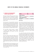## **7.1 FINANCIAL RISK MANAGEMENT POLICIES AND OBJECTIVES**

The Fund's investment portfolio may comprise equities, equity-linked securities, interest-bearing non-equity linked securities and cash and cash equivalents. The Fund may invest in listed and unlisted securities and these securities may be denominated in local or foreign currency.

The Fund invests in a focused portfolio of assets that are selected for their perceived superior fundamental value and expected risk and return profile. The Fund seeks to take advantage of opportunities that arise and may invest a substantial portion of the assets in a single country or region rather than a diversified portfolio of assets with exposure to a basket of African countries.

The Fund defines 'African securities' as equities in companies with significant business interests in Africa, regardless of the location of the stock exchange listing.

#### MARKET RISK

The Fund's investing activities expose holders of Fund shares to various types of risk that are associated with the financial instruments and markets in which the Fund invests. Market risk is defined as the risk that the fair value or future cash flows of a financial instrument will fluctuate because of changes in market prices and includes interest rate, foreign currency and other price risks.

The following table shows the Funds exposure to price and interest rate risks, split into the different types of financial instruments held by the Fund at 31 December 2016. The analysis only relates to instruments subject to those specific risks.

| <b>EXPOSURE</b>                      | 2016<br><b>USS</b> | 2015<br><b>USS</b> |  |  |
|--------------------------------------|--------------------|--------------------|--|--|
| <b>SUBJECT TO PRICE RISK</b>         |                    |                    |  |  |
| Equities                             | 165 095 555        | 162 844 482        |  |  |
| <b>SUBJECT TO INTEREST RATE RISK</b> |                    |                    |  |  |
| Cash and cash<br>equivalents         | 4 126 480          | 7 670 720          |  |  |

### PRICE RISK

Price risk is the risk that the fair value or future cash flows of a financial instrument will fluctuate because of changes in market prices (other than those arising from interest rate or currency risk), whether the changes are caused by factors specific to the individual financial instrument or its issuer, or factors affecting similar financial instruments traded in the market. Holders of redeemable shares are exposed to changes in the market values of the individual investments underlying the Fund. Exposure to price risk is mainly through listed instruments.

As a result of the nature of the Fund's underlying investments, there will be significant price fluctuations in the pursuit of superior long-term returns, and there will be periods when the equities in the Fund underperform its benchmark and/or generate negative absolute returns. Short-term performance can be volatile, and investors are encouraged to focus on long-term returns when evaluating the Fund's performance, as the Investment Manager takes a long-term view when making investment decisions.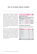The Fund's portfolio is constructed based on proprietary investment research. This research is intended to enable the Fund to be invested in equities which offer superior fundamental value. Whether an equity offers superior fundamental value is determined by comparing the share price with an assessment of the equity's intrinsic value. Price risk is not managed in the Fund. Shares are typically bought when research and analysis indicates that the intrinsic value of the company far exceeds its market price, in anticipation of the price rising to its intrinsic value and it is believed there is a margin of safety. The lower the price of a share when compared to its assessed intrinsic value, the more attractive the equity's fundamental value is considered to be.

There has been no change to the Fund's exposure to price risk or the manner in which it manages and measures the risk. The following analysis indicates the possible impact on net assets attributable to holders of redeemable shares to price risk, until such time as the investments are sold. The following table also illustrates the effect of possible changes in fair value of investments for price risk, assuming that all other variables remain constant. The disclosure provides information on the risks to which holders of redeemable shares are exposed and is not indicative of future performance.

| 2016 | 2015       |
|------|------------|
| US\$ | <b>USS</b> |

## **INVESTMENTS SUBJECT TO PRICE RISK**

| <b>EQUITIES</b>                                                     |             |             |  |  |  |
|---------------------------------------------------------------------|-------------|-------------|--|--|--|
| Effect on net assets attributable to holder of<br>redeemable shares |             |             |  |  |  |
| Gross exposure                                                      | 165 095 555 | 162 844 482 |  |  |  |
| $+.5\%$                                                             | 8 254 778   | 8 142 224   |  |  |  |
| $+10%$                                                              | 16 509 556  | 16 284 448  |  |  |  |
| $+20%$                                                              | 33 019 111  | 32 568 896  |  |  |  |

### CONCENTRATION OF EQUITY PRICE RISK

The following table analyses the Fund's concentration of equity price risk in the Fund's equity portfolio by sector allocation:

| % OF EQUITY SECURITIES | 2016  | 2015  |
|------------------------|-------|-------|
| Financials             | 28.7  | 26.8  |
| Consumer goods         | 24.4  | 33.1  |
| Basic materials        | 14.5  | 9.6   |
| Telecommunications     | 10.8  | 9.3   |
| Oil & gas              | 98    | 11.5  |
| Consumer services      | 5.5   | 1.0   |
| Utilities              | 43    | 5.9   |
| Industrials            | 20    | 2.8   |
| TOTAL                  | 100.0 | 100.0 |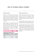## INTEREST RATE RISK

Interest rate risk is the risk that the fair value or future cash flows of a financial instrument will fluctuate because of changes in market interest rates. The Fund is exposed to interest rate risk through its exposure to holding cash and cash equivalents. The Investment Manager manages the Fund's exposure to interest rates in accordance with the Fund's investment objectives and policies.

The following table illustrates the effect of reasonably possible changes in prevailing interest rates, with all other variables held constant. The actual results may differ from the sensitivity analysis, and the difference could be material. The disclosure provides information on the risks to which holders of redeemable shares are exposed and is not indicative of future performance.

|                                                  | 2016<br><b>USS</b> | 2015<br><b>USS</b> |  |  |  |
|--------------------------------------------------|--------------------|--------------------|--|--|--|
| <b>INVESTMENTS SUBJECT TO INTEREST RATE RISK</b> |                    |                    |  |  |  |

| <b>CASH AND CASH EQUIVALENTS</b>                                    | 4 126 480 | 7 670 720 |
|---------------------------------------------------------------------|-----------|-----------|
| Effect on net assets attributable to holder of redeemable<br>shares |           |           |
| $+.0.5%$                                                            | 20 632    | 38 354    |
| $+1.0%$                                                             | 41 265    | 76 707    |

### FOREIGN CURRENCY RISK

Currency risk is the risk that the value of a financial instrument will fluctuate due to changes in foreign exchange rates. The Fund undertakes certain transactions denominated in foreign currencies and is therefore exposed to the effects of exchange rate fluctuations.

The following table indicates the currencies to which the Fund had exposure at 31 December 2016 and 31 December 2015 on its financial assets and liabilities.

A positive number indicates an increase in net assets attributable to holders of redeemable shares where the US dollar weakens against the relevant currency. For a strengthening of the US dollar against the relevant currency, there would be an equal and opposite impact on the net assets attributable to holders of redeemable shares, and the balances below would be negative.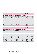|                    |            |                                                                                          |           | <b>CURRENCY IMPACT</b> |               |
|--------------------|------------|------------------------------------------------------------------------------------------|-----------|------------------------|---------------|
|                    |            |                                                                                          |           | <b>USS</b>             |               |
|                    |            | EFFECT ON NET ASSETS ATTRIBUTABLE TO HOLDERS OF REDEEMABLE SHARES AS AT 31 DECEMBER 2016 |           |                        |               |
| <b>CURRENCY</b>    |            | <b>FINANCIAL ASSET USS</b>                                                               | $-/-5%$   | $-/-10%$               | $-/-20%$      |
| Canadian dollar    | CAD.       | 888 388                                                                                  | 44 4 19   | 88 839                 | 177 678       |
| Australian dollar  | <b>AUD</b> | 5 048 278                                                                                | 252 414   | 504 828                | 1 009 656     |
| South African rand | ZAR        | 47 418 553                                                                               | 2 370 928 | 4741855                | 9 483 711     |
| Euro               | <b>EUR</b> | 4 943 670                                                                                | 247 184   | 494 367                | 988734        |
| British pound      | <b>GBP</b> | 9 633 912                                                                                | 481 696   | 963 391                | 1926782       |
| Egyptian pound     | <b>EGP</b> | 30 918 824                                                                               | 1 545 941 | 3 091 882              | 6 183 764     |
| Kenyan shilling    | <b>KES</b> | 7 430 406                                                                                | 371 520   | 743 041                | 1486081       |
| Ugandan shilling   | <b>UGX</b> | 4821168                                                                                  | 241 058   | 482 117                | 964 234       |
| Nigerian naira     | <b>NGN</b> | 22 991 292                                                                               | 1 149 565 | 2 2 9 1 2 9            | 4 5 9 2 2 5 8 |
|                    |            |                                                                                          | 6704725   | 13 409 449             | 26 818 898    |

CURRENCY IMPACT US\$

## **EFFECT ON NET ASSETS ATTRIBUTABLE TO HOLDERS OF REDEEMABLE SHARES AS AT 31 DECEMBER 2015**

| <b>CURRENCY</b>    |            | <b>FINANCIAL ASSET USS</b> | $-/-5%$       | $-/-10%$  | $-/-20%$      |
|--------------------|------------|----------------------------|---------------|-----------|---------------|
| Canadian dollar    | CAD        | 1 078 179                  | 53 909        | 107818    | 215 636       |
| Australian dollar  | <b>AUD</b> | 2 803 354                  | 140 168       | 280 335   | 560 671       |
| South African rand | <b>ZAR</b> | 32 337 091                 | 1616855       | 3 233 709 | 6 4 6 7 4 1 8 |
| Euro               | <b>EUR</b> | 6019558                    | 300 978       | 601 956   | 1 203 912     |
| British pound      | <b>GBP</b> | 9818815                    | 490 941       | 981881    | 1963763       |
| Egyptian pound     | <b>EGP</b> | 41 884 458                 | 2 0 9 4 2 2 3 | 4 188 446 | 8 376 892     |
| Kenyan shilling    | <b>KES</b> | 7 943 887                  | 397 194       | 794 389   | 1 588 777     |
| Tanzanian shilling | <b>TZS</b> | 1 642 519                  | 82 126        | 164 252   | 328 504       |
| Ugandan shilling   | <b>UGX</b> | 6 359 241                  | 317962        | 635 924   | 1 271 848     |
| West African franc | <b>XOF</b> | 859 057                    | 42 953        | 85 906    | 171811        |
| Nigerian naira     | <b>NGN</b> | 26 617 697                 | 1 330 885     | 2 661 770 | 5 323 539     |
|                    |            |                            | 6868194       | 13736386  | 27 472 771    |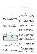## CREDIT RISK

Credit risk refers to the risk that a counterparty will default on its contractual obligations, resulting in financial loss to the Fund.

At year-end, financial assets exposed to credit risk comprised cash accounts. The Investment Manager monitors the creditworthiness of the Fund's counterparties (e.g. brokers, custodians and banks) by reviewing their credit ratings, financial statements and press releases on a regular basis.

The compliance departments of the Administrator and the Investment Manager monitor compliance with applicable regulations and the investment mandate on a daily basis.

The table below provides an analysis of the credit quality of the Fund's cash and cash equivalents at reporting date by rating agency category. The credit quality has been assessed by reference to Fitch credit ratings, and where unavailable, Moodys ratings have been used. Ratings are presented in ascending order of credit risk.

|                      | 2016      | 2015      |
|----------------------|-----------|-----------|
| <b>CREDIT RATING</b> | % OF FUND | % OF FUND |
| $A+$                 | 0.1       | 4.4       |
| A                    | 2.5       |           |
| BBB-                 | ۰         | 0.3       |
|                      | 2.6       | 4,        |

Note that the balance (97.4% of the Fund's net assets) (31 December 2015: 95.3% of the Fund's net assets) comprises financial assets at fair value through profit or loss, trade and other receivables, distribution payable and accrued expenses, which have been excluded from the table above.

#### LIQUIDITY RISK

Liquidity risk is the risk that the Fund may not be able to generate sufficient cash resources to settle its

obligations in full as they fall due or can only do so on terms that are materially disadvantageous.

The Fund invests in markets that are considered emerging markets. Such markets are generally less mature and developed than those in advanced countries. Liquidity risk management rests with the Investment Manager, which has built an appropriate liquidity risk management framework for the management of the Fund's short-, medium- and longterm funding and liquidity management requirements.

The Fund's redeemable shares are redeemable for cash equal to the proportionate share of the Fund's net asset value. The Fund is therefore potentially exposed to weekly redemptions by the holders of redeemable shares.

The Fund may not borrow other than to meet redemptions. Such borrowing is limited to 10% of the Fund's net asset value and must be repaid as soon as practically possible. The Investment Manager's compliance department monitors compliance with the applicable requirements.

Where members request redemption of 5% or more of the issued shares of the Fund, the Investment Manager may determine that all or part of the redemption proceeds be paid by transferring an appropriate portion of the property of the Fund to the redeeming members or their nominees. Where members request redemption of more than 8% of the issued shares of the Fund on any dealing day, the Investment Manager may defer redemption of the excess shares over 8% on a pro rata basis among the members requesting redemption to the next following dealing day.

Where total members' redemptions on any dealing day are more than US\$5 000 000 of the total net asset value of the Fund or 2.5% of the total number of issued shares (whichever is less), the Investment Manager may, at its discretion, redeem only 2.5% of the total number of issued shares of the Fund or US\$5 000 000 of the total net asset value of the Fund (whichever is less), on a pro rata basis among the members, per dealing day. If any redemptions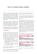requests are not satisfied in full, the balance thereof will be carried forward to the following dealing day, subject to the same 2.5% restriction. Members whose redemptions have been carried forward to the following dealing day shall have preference over subsequent redemption requests received from members. The Investment Manager retains the right to distribute all or part of the redemption proceeds in specie (in kind).

The Fund invests primarily in marketable securities and other financial instruments, which under normal market conditions, are readily convertible to cash. In addition, the Fund's policy is to maintain sufficient cash and cash equivalents to meet normal operating requirements and expected redemption requests.

Trade and other payables are due on demand. Net assets attributable to holders of redeemable shares and distribution payable are settled within 30 days.

## **7.2 FAIR VALUE**

The directors of the Fund are of the opinion that the fair value of all financial instruments, other than those measured at fair value through profit or loss, approximates the carrying amount in the Statement of financial position as these balances are due within 30 days. IFRS 7 and IFRS 13 require fair value measurements to be disclosed by the source of inputs, using a three-level hierarchy, as follows:

- Quoted (unadjusted) market prices in active markets for identical assets or liabilities (level 1);
- Those involving inputs that are directly or indirectly observable (level 2); and
- Those with inputs for the asset or liability that are not based on observable market data (unobservable inputs) (level 3).

The fair values of financial assets and financial liabilities are determined as follows:

The fair value of financial assets and financial liabilities traded in active liquid markets such as listed equity securities are based on quoted market prices at the close of trading, and are classified within level 1.

An active market is a market in which transactions for the asset or liability take place with sufficient frequency and volume to provide pricing information on an ongoing basis.

Certain investments that are not valued using the quoted market price on the securities exchange can be valued based on other observable market data at the discretion of the Investment Manager. Securities not traded through recognised public securities exchanges can be valued on the valuation date based on other reliable sources, such as quotations by recognised investment dealers, at the discretion of the Investment Manager. Investments not listed on public securities exchanges, or for which reliable quotations are not readily available, are valued using valuation models based on assumptions that may not be supported by observable market inputs. These investments are classified as level 2 or 3.

The following tables show the fair values of instruments at 31 December 2016 and 31 December 2015.

|                                                       | 2016                                                  | 2015        |  |
|-------------------------------------------------------|-------------------------------------------------------|-------------|--|
| <b>LEVEL 1</b>                                        | <b>USS</b>                                            | <b>USS</b>  |  |
| <b>FINANCIAL ASSETS</b>                               |                                                       |             |  |
|                                                       | FINANCIAL ASSETS AT FAIR VALUE THROUGH PROFIT OR LOSS |             |  |
| Equities                                              | 132 652 412                                           | 162 844 482 |  |
|                                                       |                                                       |             |  |
|                                                       | 2016                                                  | 2015        |  |
| <b>LEVEL 3</b>                                        | <b>USS</b>                                            | <b>USS</b>  |  |
| <b>FINANCIAL ASSETS</b>                               |                                                       |             |  |
| FINANCIAL ASSETS AT FAIR VALUE THROUGH PROFIT OR LOSS |                                                       |             |  |
| Equities                                              | 32 443 143                                            |             |  |

The Fund has no investments that are classified within level 2.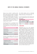During the year ended 31 December 2016, deteriorating macroeconomic conditions in Zimbabwe led to a severe shortage of US dollars. The Zimbabwe government introduced bond notes in an attempt to solve the chronic US dollar shortage in the country. As it is very difficult to get US dollars out of Zimbabwe, investors with cash balances are looking to buy real assets, therefore driving up equity valuations. As a result the fair value was adjusted, which resulted in a transfer from level 1 to level 3.

The following table shows a reconcilliation from the opening balances to the closing balances for fair value measurements of financial assets held at fair value through profit or loss, in level 3 of the fair value hierarchy:

|                                                      | liss        |
|------------------------------------------------------|-------------|
| Opening balance                                      |             |
| Transfer into level 3                                | 41 076 817  |
| Disposal of shares                                   |             |
| Net gains / (losses) recognised in<br>profit or loss | (8 633 674) |
| <b>CLOSING BALANCE</b>                               | 32 443 143  |

Total gains or losses included in profit or loss for the year are presented in the Statement of comprehensive income as follows:

|                                                             | <b>USS</b>  |
|-------------------------------------------------------------|-------------|
| Unrealised gains / (losses)<br>recognised in profit or loss | (8 633 674) |
| Realised losses recognised in profit<br>or loss             |             |
| <b>CLOSING BALANCE</b>                                      | (8 633 674) |

The Investment Manager used an unobservable discount rate of 20% to impair the fair value of the Zimbabwe listed shares at 31 December 2016.

For fair value measurements in level 3 of the fair value hierarchy, changing the discount rate would have the following effect:

#### EFFECT ON PROFIT OR LOSS:

#### **INCREASE / (DECREASE) OF DISCOUNT RATE:**

|        | <b>GAIN</b>   | <b>LOSS</b> |
|--------|---------------|-------------|
| $+5\%$ | 2 0 2 7 6 9 6 | (2027696)   |
| $+10%$ | 4 055 393     | (4055393)   |

### **8. SHARE CAPITAL**

Notwithstanding that the net assets attributable to holders of redeemable shares are classified as financial liabilities, the directors of the Fund consider these to represent the Fund's capital. The number of shares issued and redeemed during the years is reported below. The Fund is not subject to any externally imposed capital requirements. The Fund's authorised share capital at 31 December 2016 and 31 December 2015 is detailed below. Fund shares are divided into two share classes (Class A and Class B), which participate pro rata in the Fund's net assets and dividends, and are redeemable and nonvoting. Founder shares do not participate in the Fund's portfolio, are redeemable at par value only after all Fund shares have been redeemed, and carry the right to vote. If the Fund is wound up or dissolved, the Founder shares will participate only to the extent of their par value. All of the authorised Founder shares of the Fund have been issued as fully paid and are held by Allan Gray International Proprietary Limited. As at 31 December 2016 and 31 December 2015, only Class A shares had been issued.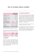|                                         |           | ALLAN GRAY AFRICA<br><b>EQUITY FUND LIMITED</b> |
|-----------------------------------------|-----------|-------------------------------------------------|
| Fund shares par value<br>(per share)    |           | US\$0.13                                        |
| Authorised fund shares                  |           | 100 million                                     |
| Founder shares par value<br>(per share) |           | US\$0.13                                        |
| Authorised and issued<br>founder shares |           | 12 000                                          |
| <b>FUND SHARE TRANSACTIONS</b>          | 2016      | 2015                                            |
| Balance at beginning of<br>year         | 1 310 270 | 1 405 523                                       |
| Subscriptions                           | 46 425    | 22 8 24                                         |
| Redemptions                             | (13626)   | (118077)                                        |
| <b>BALANCE AS AT END OF YEAR</b>        | 1 343 069 | 1 310 270                                       |

There are no options in existence for any capital.

The following income distribution was declared on 31 December 2016 and 31 December 2015 by the Fund:

|                        | 2016<br><b>USS</b> | 2015<br><b>USS</b> |
|------------------------|--------------------|--------------------|
| Total distribution     | 5 487 913          | 5 548 329          |
| Distribution per share | 4.0861             | 4.2344             |

### **9. COMMITMENTS**

The Fund has a daily uncommitted intraday US\$5 million clearing facility, US\$2 million settlement facility and a US\$5 million pre-settlement exposure facility in place to facilitate the settlement of trade instructions. The Fund has no overdraft facilities in place. These facilities expire annually on 31 May and automatically roll over.

## **10. RELATED PARTY TRANSACTIONS**

The Orbis Group of funds ('Orbis funds') are managed by Orbis Investment Management Limited. A related party relationship exists between Orbis Investment Management Limited and Allan Gray International Proprietary Limited, the Investment Manager of the Fund, by virtue of a common ultimate shareholder. At 31 December 2016, Orbis funds and Orbis Investment Management Limited held 1 220 992 shares of the Fund (2015 - 1 179 424 shares).

Directors of the Fund held no shares in the Fund at 31 December 2016 (2015 - nil shares).

During the financial year ended 31 December 2016 the management fee incurred by the Fund was US\$1 293 647 (2015 - US\$3 825 187). At 31 December 2016, the management fee payable by the Fund, was US\$206 370 (2015 - US\$235 095).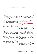## **IMPORTANT NOTES FOR INVESTORS**

### **FUND INFORMATION**

The Fund is currently open to new investors however the Fund may be closed to new investments at any time to be managed according to its mandate. If you have any questions regarding the status of the Fund, please contact the Registrar. Shares in the Fund are traded at ruling prices and the Fund can engage in borrowing and scrip lending. This report does not constitute a financial promotion, a recommendation, an offer to sell or a solicitation to buy shares in the Fund. Investments in the Fund are made according to the terms and conditions and subject to the restrictions set out in the prospectus. The offering of shares in the Fund may be restricted in certain jurisdictions. Please contact the Allan Gray service team to confirm if there are any restrictions that apply to you.

## **EUROPEAN UNION SAVINGS DIRECTIVE AND DIRECTIVE ON ADMINISTRATIVE COOPERATION**

#### The European Union Savings Directive

2003/48/EC of 3 June 2003 on taxation of savings income in the form of interest payments was repealed in November 2015, as a consequence of the adoption in December 2015 of the EU Directive on Administrative Cooperation 2014/107/EU. The Directive on Administrative Cooperation expands the scope of income and information subject to automatic exchange between EU Member States to include not only interest income, but also dividends and other types of capital income, as well as the annual balance of the accounts producing such income. The board of directors of the Fund believes that the Fund is exempt from the application of the EU Directive on Administrative Cooperation.

### **UNITED KINGDOM REPORTING FUND STATUS**

The Fund's application for reporting fund status for the year ended 31 December 2015 was successful. The Fund will apply for reporting fund status for the year ended 31 December 2016 and subsequent years. The board of directors intend to manage the Fund in such a way that it should continue to be certified as a reporting fund. There can be no assurance that the Fund's intended applications for reporting fund status will be successful.

## **NOTICE TO INVESTORS IN THE EUROPEAN ECONOMIC AREA ('EEA')**

The Fund is not currently marketed in the EEA. As a result, the Investment Manager does not comply with the requirements of the Alternative Investment Fund Managers Directive ('AIFMD'), and persons located in any EEA member state ('European Investors') are only permitted to subscribe for shares in the Fund in the discretion of the Investment Manager and subject to compliance with applicable law. European Investors who are permitted to invest in the Fund will not benefit from any of the protections of the AIFMD to which a European Investor making an investment in a non-European fund would otherwise have, including but without limitation, certain initial disclosure requirements, periodic reporting on illiquid assets and leverage, and certain annual reporting requirements.

#### **PERFORMANCE**

Collective Investment Schemes in Securities (unit trusts or mutual funds) are generally mediumto long-term investments. Where annualized performance is mentioned, this refers to the average return per year over the period. The value of shares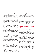## **IMPORTANT NOTES FOR INVESTORS**

may go down as well as up and past performance is not necessarily a guide to future performance. Movements in exchange rates may cause the value of underlying international investments to go up or down. Neither the Investment Manager, the Fund nor the Representative provides any guarantee regarding the capital or the performance of the Fund. Performance figures are provided by the Investment Manager and are for lump sum investments with income distributions reinvested. Actual investor performance may differ as a result of the investment date, the date of reinvestment and applicable taxes.

### **BENCHMARK DATA**

The Fund's benchmark data is provided by MSCI who require that we include the following legal notes. Neither MSCI nor any other party involved in or related to compiling, computing or creating the MSCI data makes any express or implied warranties or representations with respect to such data (or the results to be obtained by the use thereof), and all such parties hereby expressly disclaim all warranties of originality, accuracy, completeness, merchantability or fitness for a particular purpose with respect to any of such data. Without limiting any of the foregoing, in no event shall MSCI, any of its affiliates or any third party involved in or related to compiling, computing or creating the data have any liability for any direct, indirect, special, punitive, consequential or any other damages (including lost profits) even if notified of the possibility of such damages. No further distribution or dissemination of the MSCI data is permitted without MSCI's express written consent.

#### **SHARE PRICE**

Share prices are calculated on a net asset value basis, which is the total market value of all assets in the Fund including any income accruals and less any permissible deductions from the Fund divided by the number of shares in issue. Forward pricing is used. The weekly price of the Fund is normally calculated each Friday. Purchase requests must be received by the Registrar of the Fund (being Citibank Europe plc, Luxembourg Branch) by 17:00 Bermuda

time on that dealing day to receive that week's price. Redemption requests must be received by the Registrar of the Fund by 12:00 Bermuda time, on the particular dealing day on which shares are to be redeemed to receive that week's price. Share prices are available on www.allangray.com.

### **FEES AND CHARGES**

Permissible deductions from the Fund may include management fees, brokerage, Securities Transfer Tax (STT), auditor's fees, bank charges and custody fees. A schedule of fees, charges and maximum commissions is available on request from the Allan Gray Service Team.

## **TOTAL EXPENSE RATIO ('TER') AND TRANSACTION COSTS**

The TER is the annualised percentage of the Fund's average assets under management that has been used to pay the Fund's actual expenses over the past three years. The TER includes the annual management fees that have been charged (both the fee at benchmark and any performance component charged) and other expenses like audit fees. Transaction costs (including brokerage, STT and investor protection levies where applicable) are shown separately. Transaction costs are a necessary cost in administering the Fund and impacts Fund returns. They should not be considered in isolation as returns may be impacted by many other factors over time including market returns, the type of fund, the investment decisions of the investment manager and the TER. Since Fund returns are quoted after the deduction of these expenses, the TER and Transaction costs should not be deducted again from published returns. As collective investment scheme expenses vary, the current TER cannot be used as an indication of future TERs. A higher TER ratio does not necessarily imply a poor return, nor does a low TER imply a good return. Instead, when investing, the investment objective of the Fund should be aligned with the investor's objective and compared against the performance of the Fund. The TER and other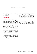## **IMPORTANT NOTES FOR INVESTORS**

funds' TERs should then be used to evaluate whether the Fund performance offers value for money. The sum of the TER and Transaction costs is shown as the Total investment charge.

## **FOREIGN EXPOSURE**

There are significant risks involved in investing in shares listed in the Fund's universe of emerging and developing countries including liquidity risks, sometimes aggravated by rapid and large outflows of 'hot money' and capital flight, concentration risk, currency risks, political and social instability, the possibility of expropriation, confiscatory taxation or nationalisation of assets and the establishment of foreign exchange controls which may include the suspension of the ability to transfer currency from a given country. The Fund can use derivatives to manage its exposure to stock markets, currencies and/ or interest rates and this exposes the Fund to contractual risk. Contractual risk includes the risk that a counterparty will not settle a transaction according to its terms and conditions because of a dispute over the terms of the contract (whether or not bona fide) or because of a credit or liquidity problem, causing the Fund to suffer a loss. Such contract counterparty risk is accentuated for contracts with longer maturities where events may intervene to prevent settlement, or where the Fund has concentrated its transactions with a single or small group of counterparties. Borrowing, leveraging, and trading securities on margin will result in interest charges and, depending on the amount of trading activity, such charges could be substantial. The low margin deposits normally required in futures and forward trading, which the Fund may utilise, permit a high degree of leverage. As a result, a relatively small price movement in a futures or forward contract may result in immediate and substantial losses to the investor.

#### **ADDITIONAL INFORMATION**

You can obtain additional information about the Fund, including copies of the fact sheet, prospectus and application forms, free of charge, by contacting the Allan Gray service team, at +353 1 622 4716 or by email at AGclientservice@citi.com.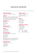# **CHARACTERISTICS AND DIRECTORY**

## **DOMICILE AND STRUCTURE**

Bermuda open-ended investment company

## **REGULATION**

The Fund is incorporated and registered under the laws of Bermuda and is supervised by the Bermuda Monetary Authority. The Fund is also listed on, and regulated by, the Bermuda Stock Exchange.

## **REGISTERED OFFICE**

Orbis House 25 Front Street Hamilton HM11 Bermuda

## **COMPANY SECRETARY**

Orbis Administration Limited

### **DIRECTORS**

Craig T Bodenstab John C R Collis Tapologo Motshubi

#### **INVESTMENT MANAGER**

Allan Gray International Proprietary Limited 1 Silo Square V & A Waterfront Cape Town 8001 South Africa The Investment Manager is an authorised Financial Services Provider in terms of the Financial Advisory and Intermediary Services Act 37 of 2002.

## **INVESTMENT ADVISOR**

Allan Gray Proprietary Limited 1 Silo Square V & A Waterfront Cape Town 8001 South Africa

#### **PRIMARY CUSTODIAN**

Citibank N.A., New York Offices 390 Greenwich Street New York, New York 10013 USA

#### **AUDITORS**

Ernst & Young LLP Ernst & Young Tower 222 Bay Street Toronto, Ontario Canada M5K 1J7

### **ADMINISTRATOR & REGISTRAR**

Citibank Europe plc Luxembourg Branch 31 - Z.A. Bourmicht L-8070 Bertrange Luxembourg Tel +353 1 622 4716 Fax +353 1 622 8543 Email AGclientservice@citi.com